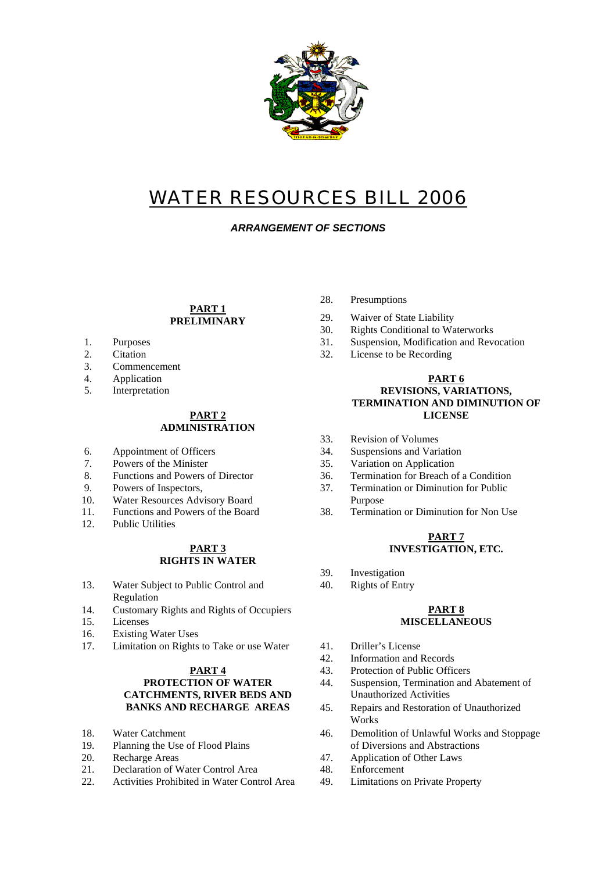

# WATER RESOURCES BILL 2006

*ARRANGEMENT OF SECTIONS* 

#### **PART 1 PRELIMINARY**

- 
- 
- 3. Commencement
- 4. Application
- 5. Interpretation

# **ADMINISTRATION**

- 
- 
- 
- 9. Powers of Inspectors,
- 10. Water Resources Advisory Board
- 
- 12. Public Utilities

# **RIGHTS IN WATER**

- 13. Water Subject to Public Control and 40. Rights of Entry Regulation
- 14. Customary Rights and Rights of Occupiers
- 15. Licenses
- 16. Existing Water Uses
- 17. Limitation on Rights to Take or use Water 41. Driller's License

# **PART 4 PROTECTION OF WATER CATCHMENTS, RIVER BEDS AND**

- 18. Water Catchment
- 19. Planning the Use of Flood Plains
- 
- 21. Declaration of Water Control Area 48. Enforcement
- 22. Activities Prohibited in Water Control Area 49. Limitations on Private Property
- 28. Presumptions
- 29. Waiver of State Liability
- 30. Rights Conditional to Waterworks
- 1. Purposes 31. Suspension, Modification and Revocation
- 2. Citation 32. License to be Recording

#### **PART 6 REVISIONS, VARIATIONS, TERMINATION AND DIMINUTION OF PART 2** LICENSE

- 33. Revision of Volumes
- 6. Appointment of Officers 34. Suspensions and Variation
- 7. Powers of the Minister 35. Variation on Application
- 8. Functions and Powers of Director 36. Termination for Breach of a Condition
	- 37. Termination or Diminution for Public Purpose
- 11. Functions and Powers of the Board 38. Termination or Diminution for Non Use

#### **PART 7 PART 3 INVESTIGATION, ETC.**

- 39. Investigation
- 

#### **PART 8 MISCELLANEOUS**

- 
- 42. Information and Records
- 43. Protection of Public Officers
- 44. Suspension, Termination and Abatement of Unauthorized Activities
- **BANKS AND RECHARGE AREAS** 45. Repairs and Restoration of Unauthorized Works
	- 46. Demolition of Unlawful Works and Stoppage of Diversions and Abstractions
- 20. Recharge Areas 20. Application of Other Laws
	-
	-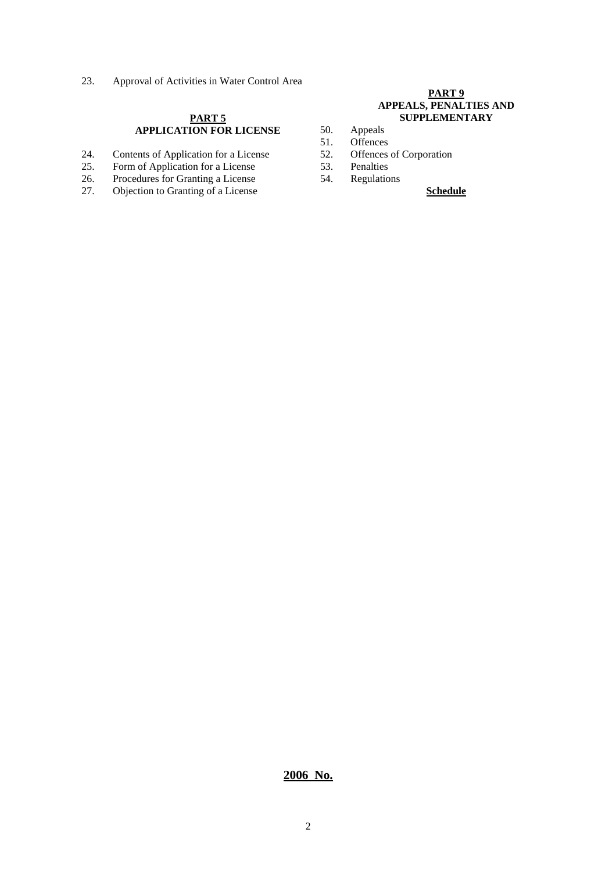23. Approval of Activities in Water Control Area

#### **PART 5 APPLICATION FOR LICENSE**

- 24. Contents of Application for a License
- 25. Form of Application for a License 53. Penalties<br>
26. Procedures for Granting a License 54. Regulation
- 26. Procedures for Granting a License 54. Regulations<br>27. Objection to Granting of a License
- 27. Objection to Granting of a License **Schedule**

#### **PART 9 APPEALS, PENALTIES AND SUPPLEMENTARY**

- 50. Appeals<br>51. Offences
- 
- 51. Offences<br>52. Offences of Corporation
- -

#### **2006 No.**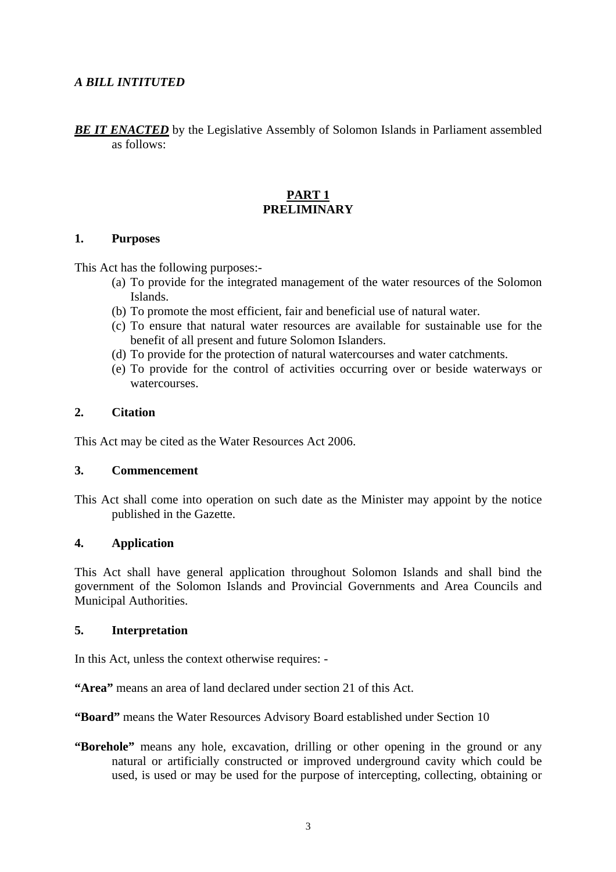## *A BILL INTITUTED*

**BE IT ENACTED** by the Legislative Assembly of Solomon Islands in Parliament assembled as follows:

#### **PART 1 PRELIMINARY**

#### **1. Purposes**

This Act has the following purposes:-

- (a) To provide for the integrated management of the water resources of the Solomon Islands.
- (b) To promote the most efficient, fair and beneficial use of natural water.
- (c) To ensure that natural water resources are available for sustainable use for the benefit of all present and future Solomon Islanders.
- (d) To provide for the protection of natural watercourses and water catchments.
- (e) To provide for the control of activities occurring over or beside waterways or watercourses.

#### **2. Citation**

This Act may be cited as the Water Resources Act 2006.

### **3. Commencement**

This Act shall come into operation on such date as the Minister may appoint by the notice published in the Gazette.

#### **4. Application**

This Act shall have general application throughout Solomon Islands and shall bind the government of the Solomon Islands and Provincial Governments and Area Councils and Municipal Authorities.

#### **5. Interpretation**

In this Act, unless the context otherwise requires: -

**"Area"** means an area of land declared under section 21 of this Act.

**"Board"** means the Water Resources Advisory Board established under Section 10

**"Borehole"** means any hole, excavation, drilling or other opening in the ground or any natural or artificially constructed or improved underground cavity which could be used, is used or may be used for the purpose of intercepting, collecting, obtaining or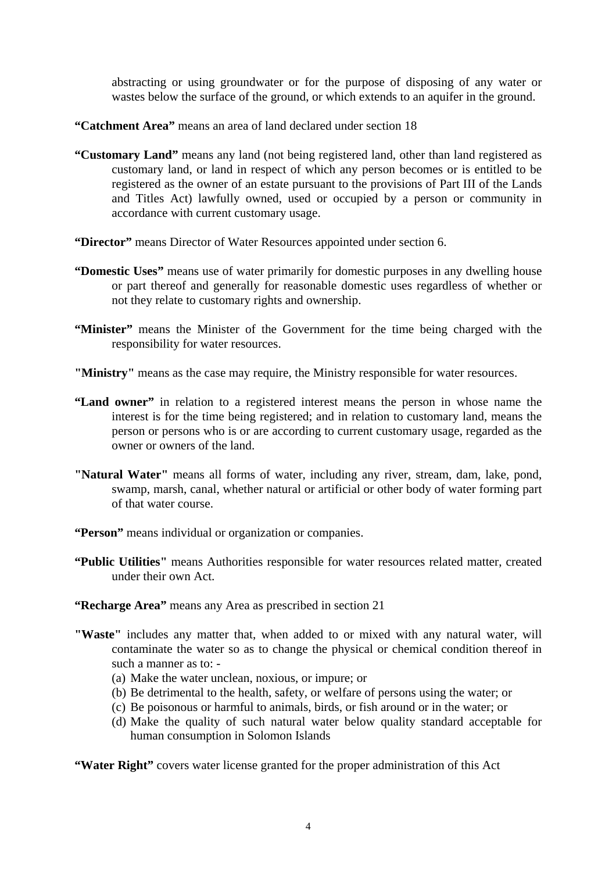abstracting or using groundwater or for the purpose of disposing of any water or wastes below the surface of the ground, or which extends to an aquifer in the ground.

- **"Catchment Area"** means an area of land declared under section 18
- **"Customary Land"** means any land (not being registered land, other than land registered as customary land, or land in respect of which any person becomes or is entitled to be registered as the owner of an estate pursuant to the provisions of Part III of the Lands and Titles Act) lawfully owned, used or occupied by a person or community in accordance with current customary usage.
- **"Director"** means Director of Water Resources appointed under section 6.
- **"Domestic Uses"** means use of water primarily for domestic purposes in any dwelling house or part thereof and generally for reasonable domestic uses regardless of whether or not they relate to customary rights and ownership.
- **"Minister"** means the Minister of the Government for the time being charged with the responsibility for water resources.
- **"Ministry"** means as the case may require, the Ministry responsible for water resources.
- **"Land owner"** in relation to a registered interest means the person in whose name the interest is for the time being registered; and in relation to customary land, means the person or persons who is or are according to current customary usage, regarded as the owner or owners of the land.
- **"Natural Water"** means all forms of water, including any river, stream, dam, lake, pond, swamp, marsh, canal, whether natural or artificial or other body of water forming part of that water course.
- **"Person"** means individual or organization or companies.
- **"Public Utilities"** means Authorities responsible for water resources related matter, created under their own Act.
- **"Recharge Area"** means any Area as prescribed in section 21
- **"Waste"** includes any matter that, when added to or mixed with any natural water, will contaminate the water so as to change the physical or chemical condition thereof in such a manner as to: -
	- (a) Make the water unclean, noxious, or impure; or
	- (b) Be detrimental to the health, safety, or welfare of persons using the water; or
	- (c) Be poisonous or harmful to animals, birds, or fish around or in the water; or
	- (d) Make the quality of such natural water below quality standard acceptable for human consumption in Solomon Islands

**"Water Right"** covers water license granted for the proper administration of this Act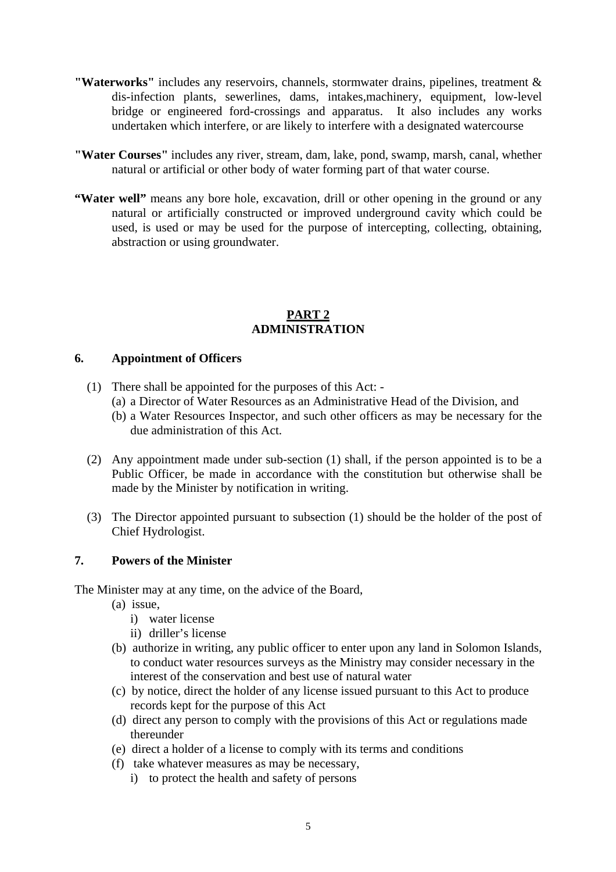- **"Waterworks"** includes any reservoirs, channels, stormwater drains, pipelines, treatment & dis-infection plants, sewerlines, dams, intakes,machinery, equipment, low-level bridge or engineered ford-crossings and apparatus. It also includes any works undertaken which interfere, or are likely to interfere with a designated watercourse
- **"Water Courses"** includes any river, stream, dam, lake, pond, swamp, marsh, canal, whether natural or artificial or other body of water forming part of that water course.
- "Water well" means any bore hole, excavation, drill or other opening in the ground or any natural or artificially constructed or improved underground cavity which could be used, is used or may be used for the purpose of intercepting, collecting, obtaining, abstraction or using groundwater.

## **PART 2 ADMINISTRATION**

## **6. Appointment of Officers**

- (1) There shall be appointed for the purposes of this Act:
	- (a) a Director of Water Resources as an Administrative Head of the Division, and
	- (b) a Water Resources Inspector, and such other officers as may be necessary for the due administration of this Act.
- (2) Any appointment made under sub-section (1) shall, if the person appointed is to be a Public Officer, be made in accordance with the constitution but otherwise shall be made by the Minister by notification in writing.
- (3) The Director appointed pursuant to subsection (1) should be the holder of the post of Chief Hydrologist.

## **7. Powers of the Minister**

The Minister may at any time, on the advice of the Board,

- (a) issue,
	- i) water license
	- ii) driller's license
- (b) authorize in writing, any public officer to enter upon any land in Solomon Islands, to conduct water resources surveys as the Ministry may consider necessary in the interest of the conservation and best use of natural water
- (c) by notice, direct the holder of any license issued pursuant to this Act to produce records kept for the purpose of this Act
- (d) direct any person to comply with the provisions of this Act or regulations made thereunder
- (e) direct a holder of a license to comply with its terms and conditions
- (f) take whatever measures as may be necessary,
	- i) to protect the health and safety of persons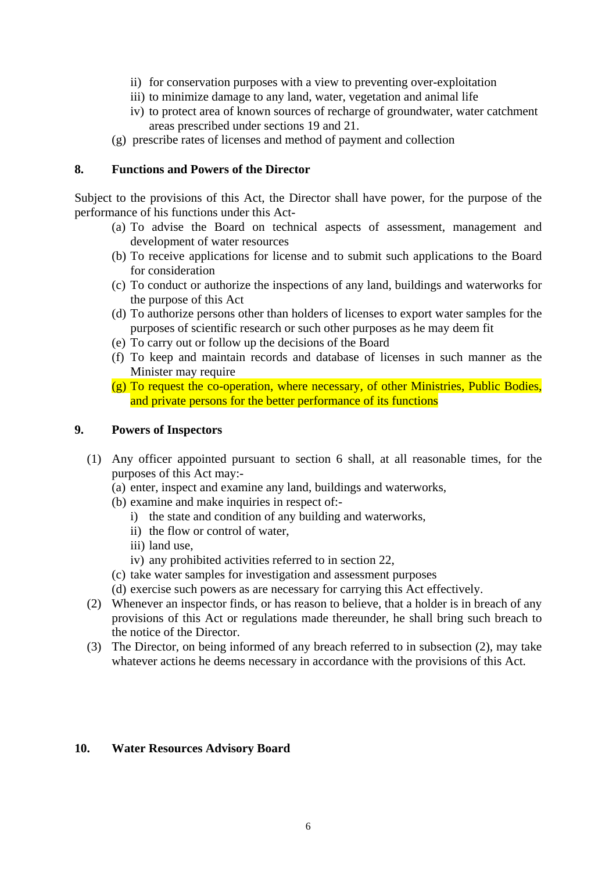- ii) for conservation purposes with a view to preventing over-exploitation
- iii) to minimize damage to any land, water, vegetation and animal life
- iv) to protect area of known sources of recharge of groundwater, water catchment areas prescribed under sections 19 and 21.
- (g) prescribe rates of licenses and method of payment and collection

## **8. Functions and Powers of the Director**

Subject to the provisions of this Act, the Director shall have power, for the purpose of the performance of his functions under this Act-

- (a) To advise the Board on technical aspects of assessment, management and development of water resources
- (b) To receive applications for license and to submit such applications to the Board for consideration
- (c) To conduct or authorize the inspections of any land, buildings and waterworks for the purpose of this Act
- (d) To authorize persons other than holders of licenses to export water samples for the purposes of scientific research or such other purposes as he may deem fit
- (e) To carry out or follow up the decisions of the Board
- (f) To keep and maintain records and database of licenses in such manner as the Minister may require
- (g) To request the co-operation, where necessary, of other Ministries, Public Bodies, and private persons for the better performance of its functions

## **9. Powers of Inspectors**

- (1) Any officer appointed pursuant to section 6 shall, at all reasonable times, for the purposes of this Act may:-
	- (a) enter, inspect and examine any land, buildings and waterworks,
	- (b) examine and make inquiries in respect of:
		- i) the state and condition of any building and waterworks,
		- ii) the flow or control of water,
		- iii) land use,
		- iv) any prohibited activities referred to in section 22,
	- (c) take water samples for investigation and assessment purposes
	- (d) exercise such powers as are necessary for carrying this Act effectively.
- (2) Whenever an inspector finds, or has reason to believe, that a holder is in breach of any provisions of this Act or regulations made thereunder, he shall bring such breach to the notice of the Director.
- (3) The Director, on being informed of any breach referred to in subsection (2), may take whatever actions he deems necessary in accordance with the provisions of this Act.

## **10. Water Resources Advisory Board**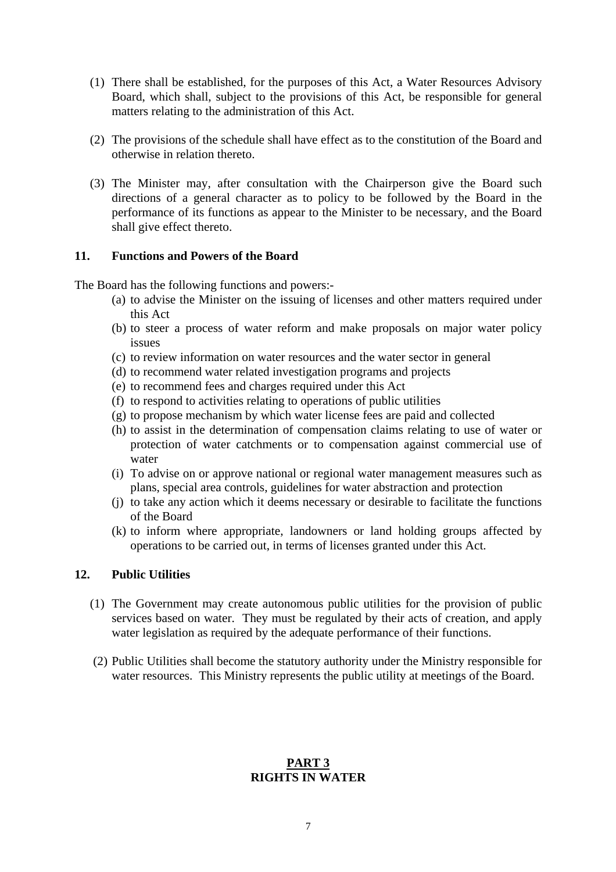- (1) There shall be established, for the purposes of this Act, a Water Resources Advisory Board, which shall, subject to the provisions of this Act, be responsible for general matters relating to the administration of this Act.
- (2) The provisions of the schedule shall have effect as to the constitution of the Board and otherwise in relation thereto.
- (3) The Minister may, after consultation with the Chairperson give the Board such directions of a general character as to policy to be followed by the Board in the performance of its functions as appear to the Minister to be necessary, and the Board shall give effect thereto.

## **11. Functions and Powers of the Board**

The Board has the following functions and powers:-

- (a) to advise the Minister on the issuing of licenses and other matters required under this Act
- (b) to steer a process of water reform and make proposals on major water policy issues
- (c) to review information on water resources and the water sector in general
- (d) to recommend water related investigation programs and projects
- (e) to recommend fees and charges required under this Act
- (f) to respond to activities relating to operations of public utilities
- (g) to propose mechanism by which water license fees are paid and collected
- (h) to assist in the determination of compensation claims relating to use of water or protection of water catchments or to compensation against commercial use of water
- (i) To advise on or approve national or regional water management measures such as plans, special area controls, guidelines for water abstraction and protection
- (j) to take any action which it deems necessary or desirable to facilitate the functions of the Board
- (k) to inform where appropriate, landowners or land holding groups affected by operations to be carried out, in terms of licenses granted under this Act.

## **12. Public Utilities**

- (1) The Government may create autonomous public utilities for the provision of public services based on water. They must be regulated by their acts of creation, and apply water legislation as required by the adequate performance of their functions.
- (2) Public Utilities shall become the statutory authority under the Ministry responsible for water resources. This Ministry represents the public utility at meetings of the Board.

## **PART 3 RIGHTS IN WATER**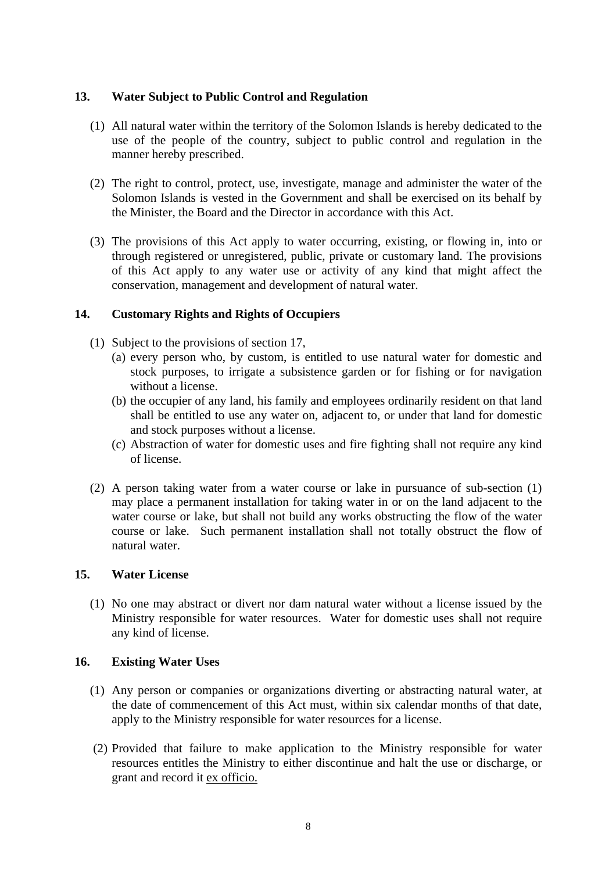## **13. Water Subject to Public Control and Regulation**

- (1) All natural water within the territory of the Solomon Islands is hereby dedicated to the use of the people of the country, subject to public control and regulation in the manner hereby prescribed.
- (2) The right to control, protect, use, investigate, manage and administer the water of the Solomon Islands is vested in the Government and shall be exercised on its behalf by the Minister, the Board and the Director in accordance with this Act.
- (3) The provisions of this Act apply to water occurring, existing, or flowing in, into or through registered or unregistered, public, private or customary land. The provisions of this Act apply to any water use or activity of any kind that might affect the conservation, management and development of natural water.

#### **14. Customary Rights and Rights of Occupiers**

- (1) Subject to the provisions of section 17,
	- (a) every person who, by custom, is entitled to use natural water for domestic and stock purposes, to irrigate a subsistence garden or for fishing or for navigation without a license.
	- (b) the occupier of any land, his family and employees ordinarily resident on that land shall be entitled to use any water on, adjacent to, or under that land for domestic and stock purposes without a license.
	- (c) Abstraction of water for domestic uses and fire fighting shall not require any kind of license.
- (2) A person taking water from a water course or lake in pursuance of sub-section (1) may place a permanent installation for taking water in or on the land adjacent to the water course or lake, but shall not build any works obstructing the flow of the water course or lake. Such permanent installation shall not totally obstruct the flow of natural water.

#### **15. Water License**

(1) No one may abstract or divert nor dam natural water without a license issued by the Ministry responsible for water resources. Water for domestic uses shall not require any kind of license.

#### **16. Existing Water Uses**

- (1) Any person or companies or organizations diverting or abstracting natural water, at the date of commencement of this Act must, within six calendar months of that date, apply to the Ministry responsible for water resources for a license.
- (2) Provided that failure to make application to the Ministry responsible for water resources entitles the Ministry to either discontinue and halt the use or discharge, or grant and record it ex officio.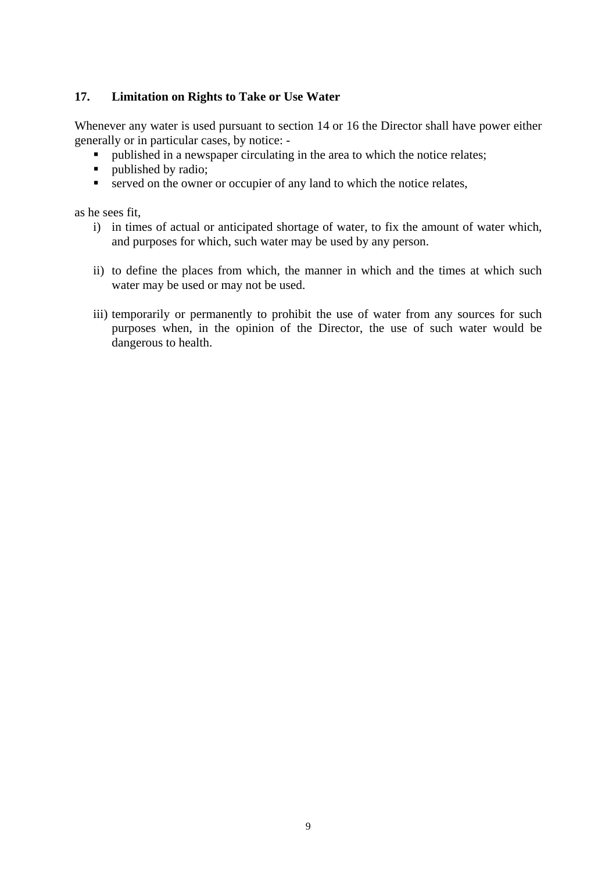# **17. Limitation on Rights to Take or Use Water**

Whenever any water is used pursuant to section 14 or 16 the Director shall have power either generally or in particular cases, by notice: -

- published in a newspaper circulating in the area to which the notice relates;<br>• nublished by radio:
- published by radio;
- served on the owner or occupier of any land to which the notice relates,

as he sees fit,

- i) in times of actual or anticipated shortage of water, to fix the amount of water which, and purposes for which, such water may be used by any person.
- ii) to define the places from which, the manner in which and the times at which such water may be used or may not be used.
- iii) temporarily or permanently to prohibit the use of water from any sources for such purposes when, in the opinion of the Director, the use of such water would be dangerous to health.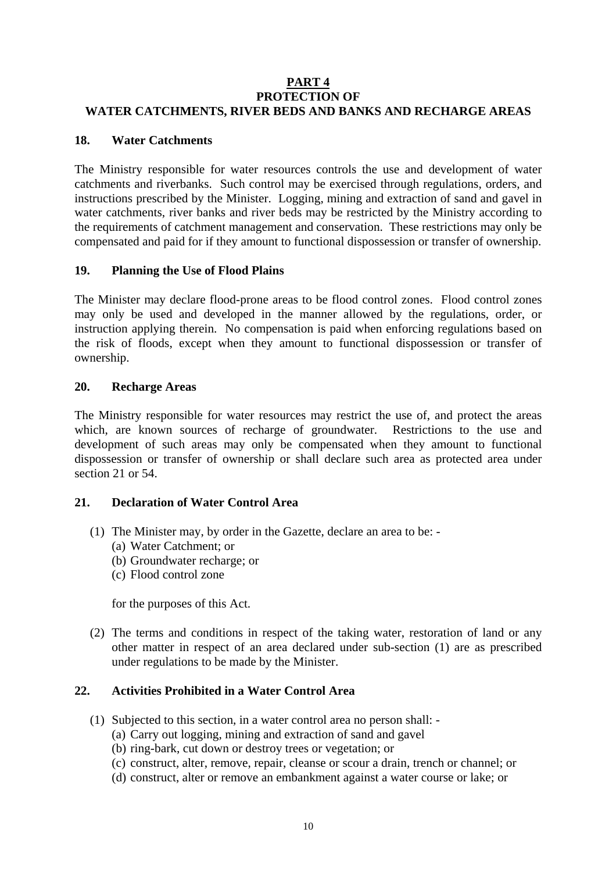### **PART 4 PROTECTION OF WATER CATCHMENTS, RIVER BEDS AND BANKS AND RECHARGE AREAS**

## **18. Water Catchments**

The Ministry responsible for water resources controls the use and development of water catchments and riverbanks. Such control may be exercised through regulations, orders, and instructions prescribed by the Minister. Logging, mining and extraction of sand and gavel in water catchments, river banks and river beds may be restricted by the Ministry according to the requirements of catchment management and conservation. These restrictions may only be compensated and paid for if they amount to functional dispossession or transfer of ownership.

## **19. Planning the Use of Flood Plains**

The Minister may declare flood-prone areas to be flood control zones. Flood control zones may only be used and developed in the manner allowed by the regulations, order, or instruction applying therein. No compensation is paid when enforcing regulations based on the risk of floods, except when they amount to functional dispossession or transfer of ownership.

#### **20. Recharge Areas**

The Ministry responsible for water resources may restrict the use of, and protect the areas which, are known sources of recharge of groundwater. Restrictions to the use and development of such areas may only be compensated when they amount to functional dispossession or transfer of ownership or shall declare such area as protected area under section 21 or 54.

## **21. Declaration of Water Control Area**

- (1) The Minister may, by order in the Gazette, declare an area to be:
	- (a) Water Catchment; or
	- (b) Groundwater recharge; or
	- (c) Flood control zone

for the purposes of this Act.

 (2) The terms and conditions in respect of the taking water, restoration of land or any other matter in respect of an area declared under sub-section (1) are as prescribed under regulations to be made by the Minister.

#### **22. Activities Prohibited in a Water Control Area**

- (1) Subjected to this section, in a water control area no person shall:
	- (a) Carry out logging, mining and extraction of sand and gavel
	- (b) ring-bark, cut down or destroy trees or vegetation; or
	- (c) construct, alter, remove, repair, cleanse or scour a drain, trench or channel; or
	- (d) construct, alter or remove an embankment against a water course or lake; or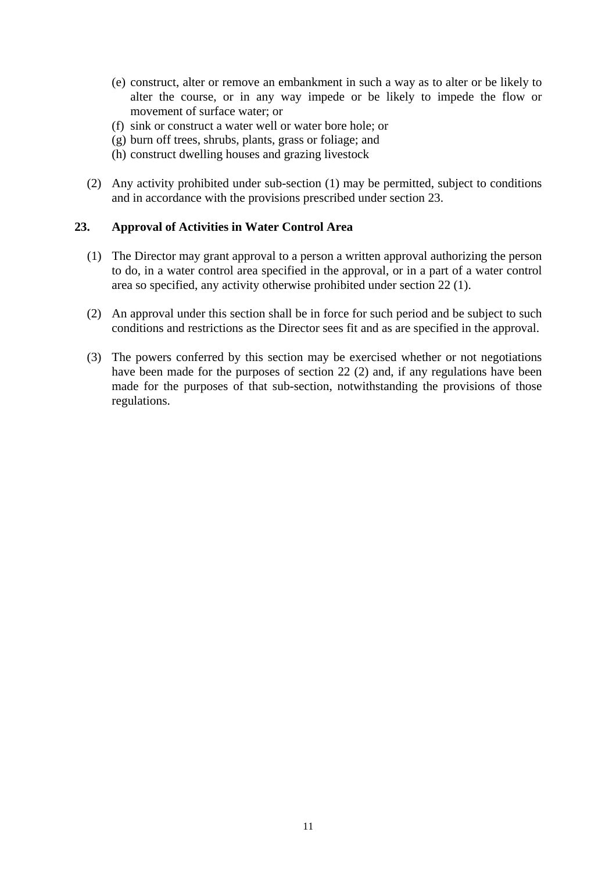- (e) construct, alter or remove an embankment in such a way as to alter or be likely to alter the course, or in any way impede or be likely to impede the flow or movement of surface water; or
- (f) sink or construct a water well or water bore hole; or
- (g) burn off trees, shrubs, plants, grass or foliage; and
- (h) construct dwelling houses and grazing livestock
- (2) Any activity prohibited under sub-section (1) may be permitted, subject to conditions and in accordance with the provisions prescribed under section 23.

#### **23. Approval of Activities in Water Control Area**

- (1) The Director may grant approval to a person a written approval authorizing the person to do, in a water control area specified in the approval, or in a part of a water control area so specified, any activity otherwise prohibited under section 22 (1).
- (2) An approval under this section shall be in force for such period and be subject to such conditions and restrictions as the Director sees fit and as are specified in the approval.
- (3) The powers conferred by this section may be exercised whether or not negotiations have been made for the purposes of section 22 (2) and, if any regulations have been made for the purposes of that sub-section, notwithstanding the provisions of those regulations.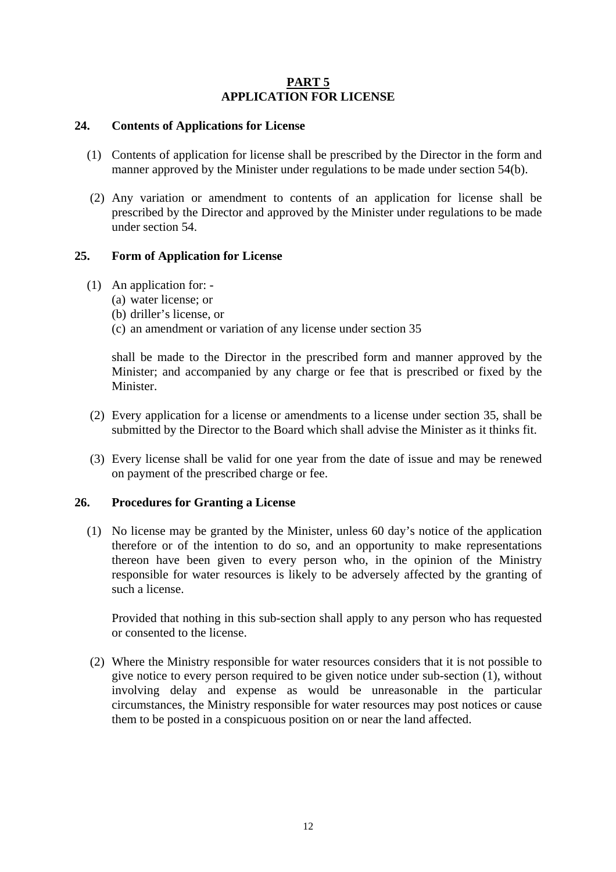## **PART 5 APPLICATION FOR LICENSE**

## **24. Contents of Applications for License**

- (1) Contents of application for license shall be prescribed by the Director in the form and manner approved by the Minister under regulations to be made under section 54(b).
- (2) Any variation or amendment to contents of an application for license shall be prescribed by the Director and approved by the Minister under regulations to be made under section 54.

## **25. Form of Application for License**

- (1) An application for:
	- (a) water license; or
	- (b) driller's license, or
	- (c) an amendment or variation of any license under section 35

shall be made to the Director in the prescribed form and manner approved by the Minister; and accompanied by any charge or fee that is prescribed or fixed by the Minister.

- (2) Every application for a license or amendments to a license under section 35, shall be submitted by the Director to the Board which shall advise the Minister as it thinks fit.
- (3) Every license shall be valid for one year from the date of issue and may be renewed on payment of the prescribed charge or fee.

#### **26. Procedures for Granting a License**

(1) No license may be granted by the Minister, unless 60 day's notice of the application therefore or of the intention to do so, and an opportunity to make representations thereon have been given to every person who, in the opinion of the Ministry responsible for water resources is likely to be adversely affected by the granting of such a license.

Provided that nothing in this sub-section shall apply to any person who has requested or consented to the license.

 (2) Where the Ministry responsible for water resources considers that it is not possible to give notice to every person required to be given notice under sub-section (1), without involving delay and expense as would be unreasonable in the particular circumstances, the Ministry responsible for water resources may post notices or cause them to be posted in a conspicuous position on or near the land affected.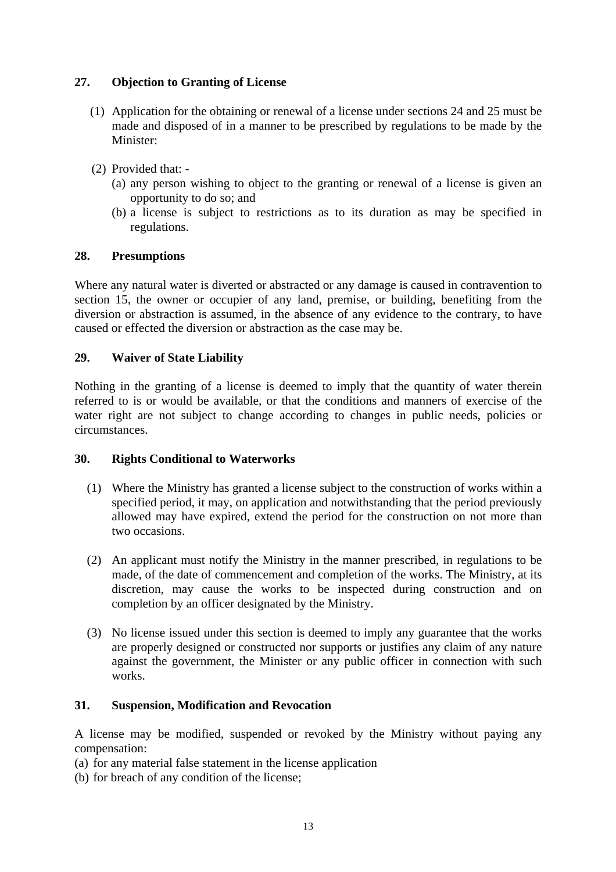# **27. Objection to Granting of License**

- (1) Application for the obtaining or renewal of a license under sections 24 and 25 must be made and disposed of in a manner to be prescribed by regulations to be made by the Minister:
- (2) Provided that:
	- (a) any person wishing to object to the granting or renewal of a license is given an opportunity to do so; and
	- (b) a license is subject to restrictions as to its duration as may be specified in regulations.

## **28. Presumptions**

Where any natural water is diverted or abstracted or any damage is caused in contravention to section 15, the owner or occupier of any land, premise, or building, benefiting from the diversion or abstraction is assumed, in the absence of any evidence to the contrary, to have caused or effected the diversion or abstraction as the case may be.

## **29. Waiver of State Liability**

Nothing in the granting of a license is deemed to imply that the quantity of water therein referred to is or would be available, or that the conditions and manners of exercise of the water right are not subject to change according to changes in public needs, policies or circumstances.

#### **30. Rights Conditional to Waterworks**

- (1) Where the Ministry has granted a license subject to the construction of works within a specified period, it may, on application and notwithstanding that the period previously allowed may have expired, extend the period for the construction on not more than two occasions.
- (2) An applicant must notify the Ministry in the manner prescribed, in regulations to be made, of the date of commencement and completion of the works. The Ministry, at its discretion, may cause the works to be inspected during construction and on completion by an officer designated by the Ministry.
- (3) No license issued under this section is deemed to imply any guarantee that the works are properly designed or constructed nor supports or justifies any claim of any nature against the government, the Minister or any public officer in connection with such works.

#### **31. Suspension, Modification and Revocation**

A license may be modified, suspended or revoked by the Ministry without paying any compensation:

- (a) for any material false statement in the license application
- (b) for breach of any condition of the license;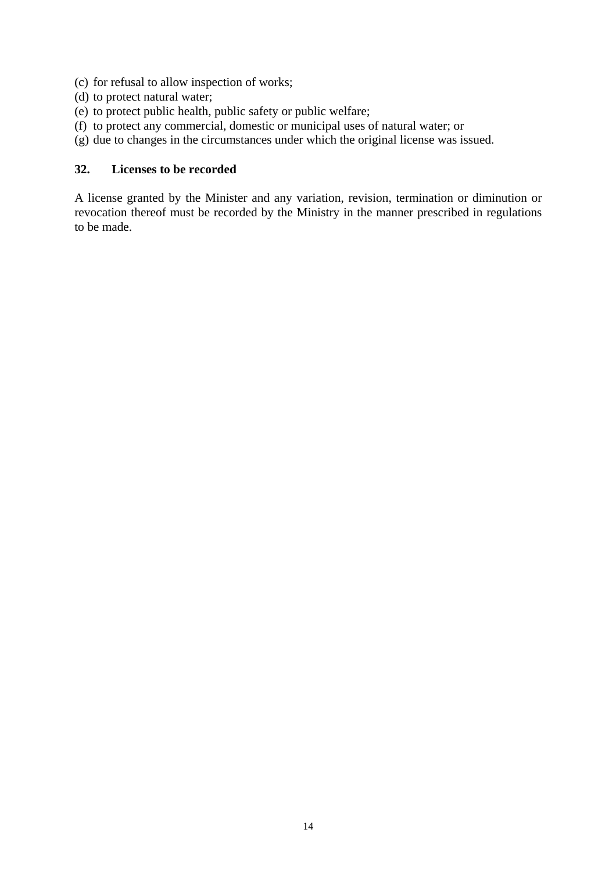- (c) for refusal to allow inspection of works;
- (d) to protect natural water;
- (e) to protect public health, public safety or public welfare;
- (f) to protect any commercial, domestic or municipal uses of natural water; or
- (g) due to changes in the circumstances under which the original license was issued.

# **32. Licenses to be recorded**

A license granted by the Minister and any variation, revision, termination or diminution or revocation thereof must be recorded by the Ministry in the manner prescribed in regulations to be made.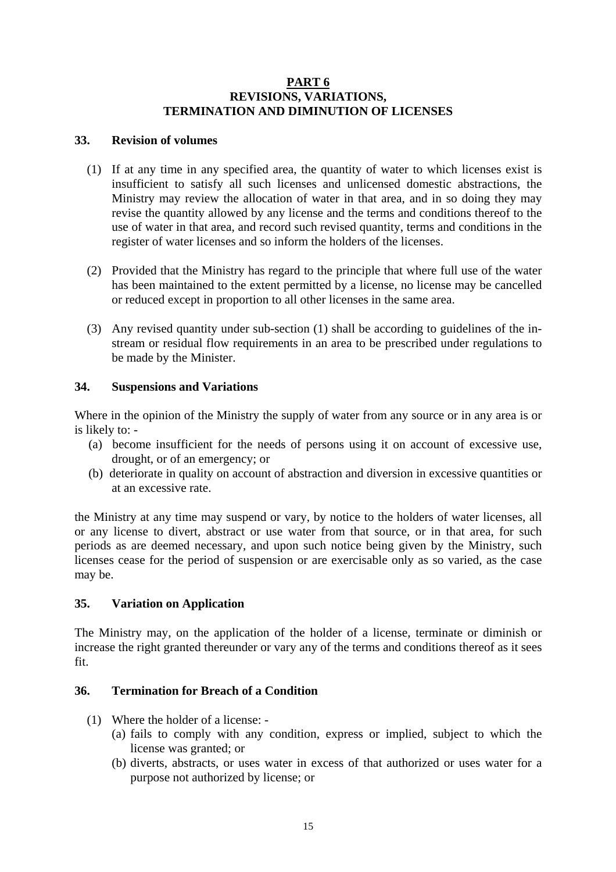## **PART 6 REVISIONS, VARIATIONS, TERMINATION AND DIMINUTION OF LICENSES**

## **33. Revision of volumes**

- (1) If at any time in any specified area, the quantity of water to which licenses exist is insufficient to satisfy all such licenses and unlicensed domestic abstractions, the Ministry may review the allocation of water in that area, and in so doing they may revise the quantity allowed by any license and the terms and conditions thereof to the use of water in that area, and record such revised quantity, terms and conditions in the register of water licenses and so inform the holders of the licenses.
- (2) Provided that the Ministry has regard to the principle that where full use of the water has been maintained to the extent permitted by a license, no license may be cancelled or reduced except in proportion to all other licenses in the same area.
- (3) Any revised quantity under sub-section (1) shall be according to guidelines of the instream or residual flow requirements in an area to be prescribed under regulations to be made by the Minister.

## **34. Suspensions and Variations**

Where in the opinion of the Ministry the supply of water from any source or in any area is or is likely to: -

- (a) become insufficient for the needs of persons using it on account of excessive use, drought, or of an emergency; or
- (b) deteriorate in quality on account of abstraction and diversion in excessive quantities or at an excessive rate.

the Ministry at any time may suspend or vary, by notice to the holders of water licenses, all or any license to divert, abstract or use water from that source, or in that area, for such periods as are deemed necessary, and upon such notice being given by the Ministry, such licenses cease for the period of suspension or are exercisable only as so varied, as the case may be.

## **35. Variation on Application**

The Ministry may, on the application of the holder of a license, terminate or diminish or increase the right granted thereunder or vary any of the terms and conditions thereof as it sees fit.

## **36. Termination for Breach of a Condition**

- (1) Where the holder of a license:
	- (a) fails to comply with any condition, express or implied, subject to which the license was granted; or
	- (b) diverts, abstracts, or uses water in excess of that authorized or uses water for a purpose not authorized by license; or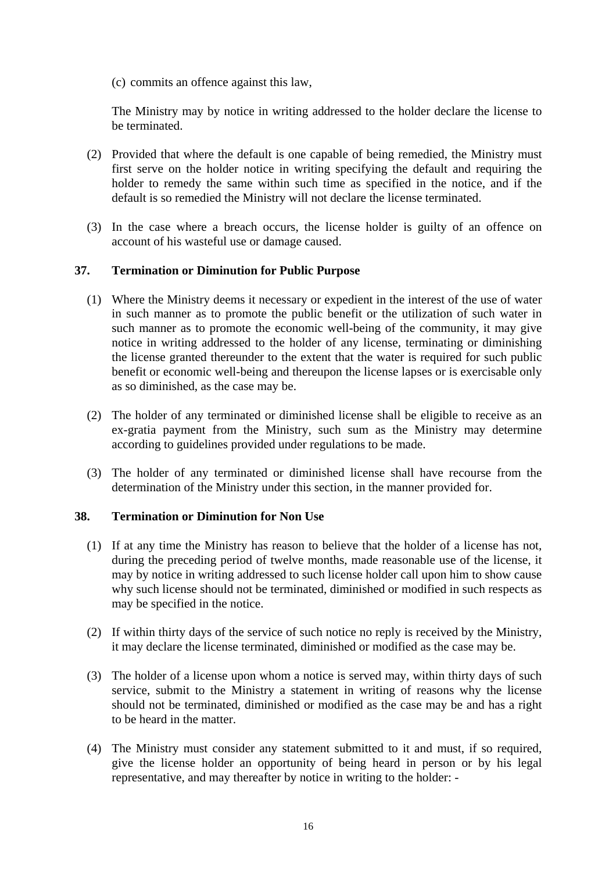(c) commits an offence against this law,

The Ministry may by notice in writing addressed to the holder declare the license to be terminated.

- (2) Provided that where the default is one capable of being remedied, the Ministry must first serve on the holder notice in writing specifying the default and requiring the holder to remedy the same within such time as specified in the notice, and if the default is so remedied the Ministry will not declare the license terminated.
- (3) In the case where a breach occurs, the license holder is guilty of an offence on account of his wasteful use or damage caused.

## **37. Termination or Diminution for Public Purpose**

- (1) Where the Ministry deems it necessary or expedient in the interest of the use of water in such manner as to promote the public benefit or the utilization of such water in such manner as to promote the economic well-being of the community, it may give notice in writing addressed to the holder of any license, terminating or diminishing the license granted thereunder to the extent that the water is required for such public benefit or economic well-being and thereupon the license lapses or is exercisable only as so diminished, as the case may be.
- (2) The holder of any terminated or diminished license shall be eligible to receive as an ex-gratia payment from the Ministry, such sum as the Ministry may determine according to guidelines provided under regulations to be made.
- (3) The holder of any terminated or diminished license shall have recourse from the determination of the Ministry under this section, in the manner provided for.

## **38. Termination or Diminution for Non Use**

- (1) If at any time the Ministry has reason to believe that the holder of a license has not, during the preceding period of twelve months, made reasonable use of the license, it may by notice in writing addressed to such license holder call upon him to show cause why such license should not be terminated, diminished or modified in such respects as may be specified in the notice.
- (2) If within thirty days of the service of such notice no reply is received by the Ministry, it may declare the license terminated, diminished or modified as the case may be.
- (3) The holder of a license upon whom a notice is served may, within thirty days of such service, submit to the Ministry a statement in writing of reasons why the license should not be terminated, diminished or modified as the case may be and has a right to be heard in the matter.
- (4) The Ministry must consider any statement submitted to it and must, if so required, give the license holder an opportunity of being heard in person or by his legal representative, and may thereafter by notice in writing to the holder: -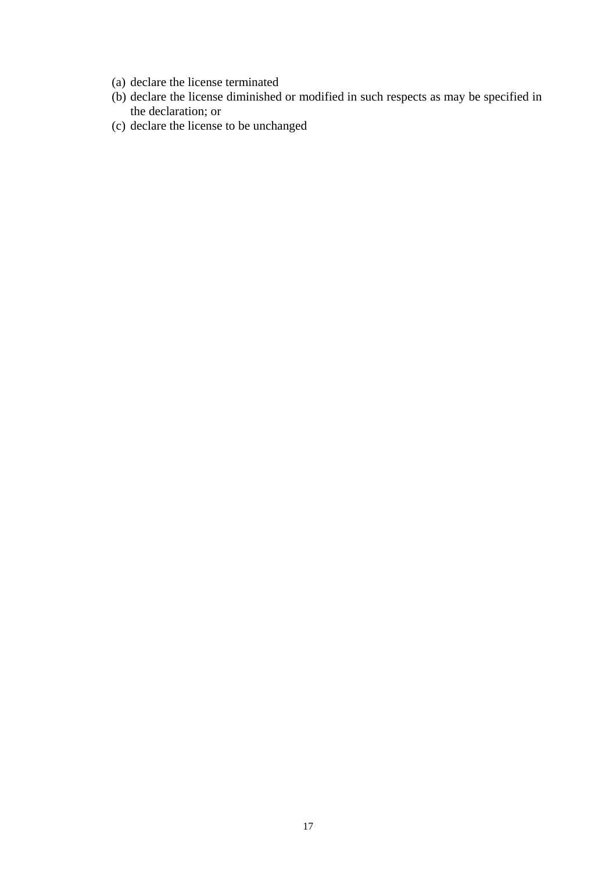- (a) declare the license terminated
- (b) declare the license diminished or modified in such respects as may be specified in the declaration; or
- (c) declare the license to be unchanged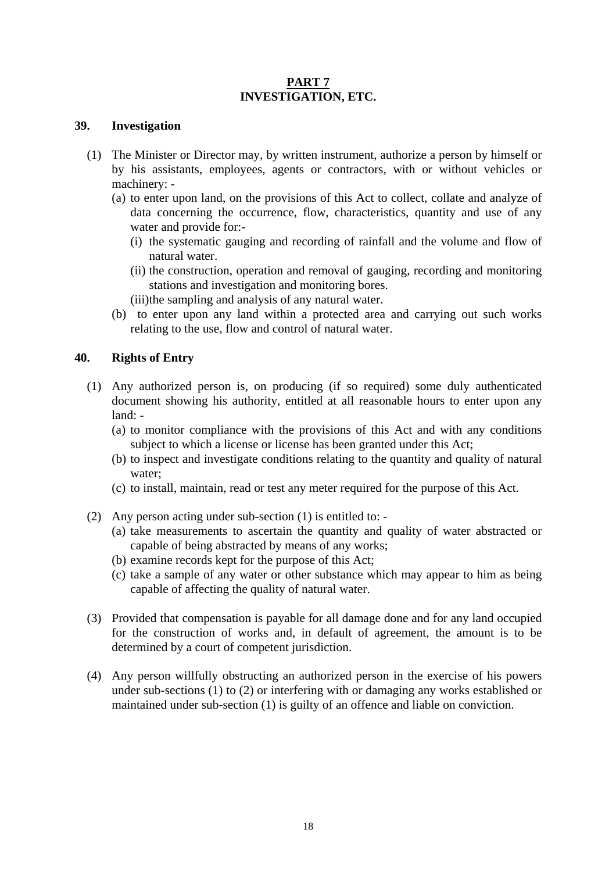## **PART 7 INVESTIGATION, ETC.**

#### **39. Investigation**

- (1) The Minister or Director may, by written instrument, authorize a person by himself or by his assistants, employees, agents or contractors, with or without vehicles or machinery: -
	- (a) to enter upon land, on the provisions of this Act to collect, collate and analyze of data concerning the occurrence, flow, characteristics, quantity and use of any water and provide for:-
		- (i) the systematic gauging and recording of rainfall and the volume and flow of natural water.
		- (ii) the construction, operation and removal of gauging, recording and monitoring stations and investigation and monitoring bores.
		- (iii)the sampling and analysis of any natural water.
	- (b) to enter upon any land within a protected area and carrying out such works relating to the use, flow and control of natural water.

## **40. Rights of Entry**

- (1) Any authorized person is, on producing (if so required) some duly authenticated document showing his authority, entitled at all reasonable hours to enter upon any land: -
	- (a) to monitor compliance with the provisions of this Act and with any conditions subject to which a license or license has been granted under this Act;
	- (b) to inspect and investigate conditions relating to the quantity and quality of natural water;
	- (c) to install, maintain, read or test any meter required for the purpose of this Act.
- (2) Any person acting under sub-section (1) is entitled to:
	- (a) take measurements to ascertain the quantity and quality of water abstracted or capable of being abstracted by means of any works;
	- (b) examine records kept for the purpose of this Act;
	- (c) take a sample of any water or other substance which may appear to him as being capable of affecting the quality of natural water.
- (3) Provided that compensation is payable for all damage done and for any land occupied for the construction of works and, in default of agreement, the amount is to be determined by a court of competent jurisdiction.
- (4) Any person willfully obstructing an authorized person in the exercise of his powers under sub-sections (1) to (2) or interfering with or damaging any works established or maintained under sub-section (1) is guilty of an offence and liable on conviction.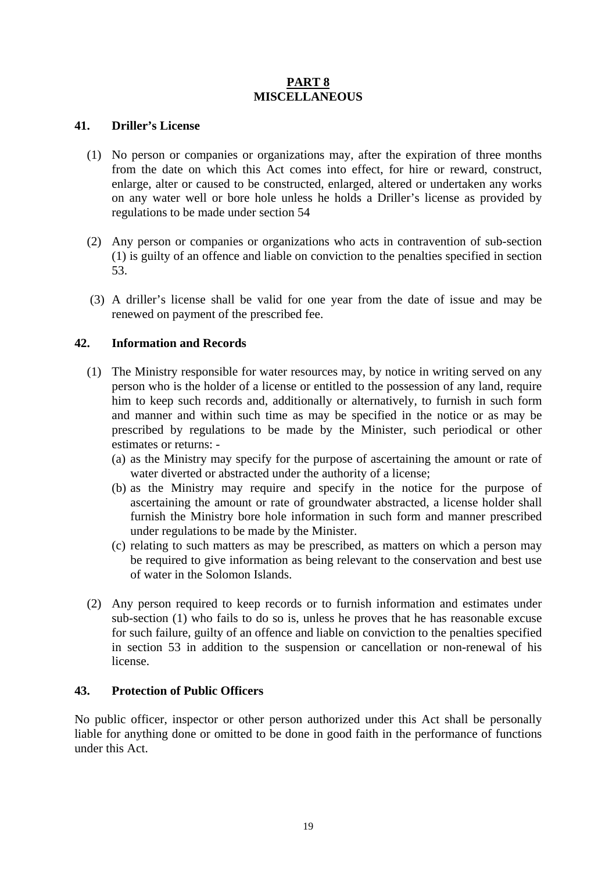## **PART 8 MISCELLANEOUS**

## **41. Driller's License**

- (1) No person or companies or organizations may, after the expiration of three months from the date on which this Act comes into effect, for hire or reward, construct, enlarge, alter or caused to be constructed, enlarged, altered or undertaken any works on any water well or bore hole unless he holds a Driller's license as provided by regulations to be made under section 54
- (2) Any person or companies or organizations who acts in contravention of sub-section (1) is guilty of an offence and liable on conviction to the penalties specified in section 53.
- (3) A driller's license shall be valid for one year from the date of issue and may be renewed on payment of the prescribed fee.

## **42. Information and Records**

- (1) The Ministry responsible for water resources may, by notice in writing served on any person who is the holder of a license or entitled to the possession of any land, require him to keep such records and, additionally or alternatively, to furnish in such form and manner and within such time as may be specified in the notice or as may be prescribed by regulations to be made by the Minister, such periodical or other estimates or returns: -
	- (a) as the Ministry may specify for the purpose of ascertaining the amount or rate of water diverted or abstracted under the authority of a license;
	- (b) as the Ministry may require and specify in the notice for the purpose of ascertaining the amount or rate of groundwater abstracted, a license holder shall furnish the Ministry bore hole information in such form and manner prescribed under regulations to be made by the Minister.
	- (c) relating to such matters as may be prescribed, as matters on which a person may be required to give information as being relevant to the conservation and best use of water in the Solomon Islands.
- (2) Any person required to keep records or to furnish information and estimates under sub-section (1) who fails to do so is, unless he proves that he has reasonable excuse for such failure, guilty of an offence and liable on conviction to the penalties specified in section 53 in addition to the suspension or cancellation or non-renewal of his license.

## **43. Protection of Public Officers**

No public officer, inspector or other person authorized under this Act shall be personally liable for anything done or omitted to be done in good faith in the performance of functions under this Act.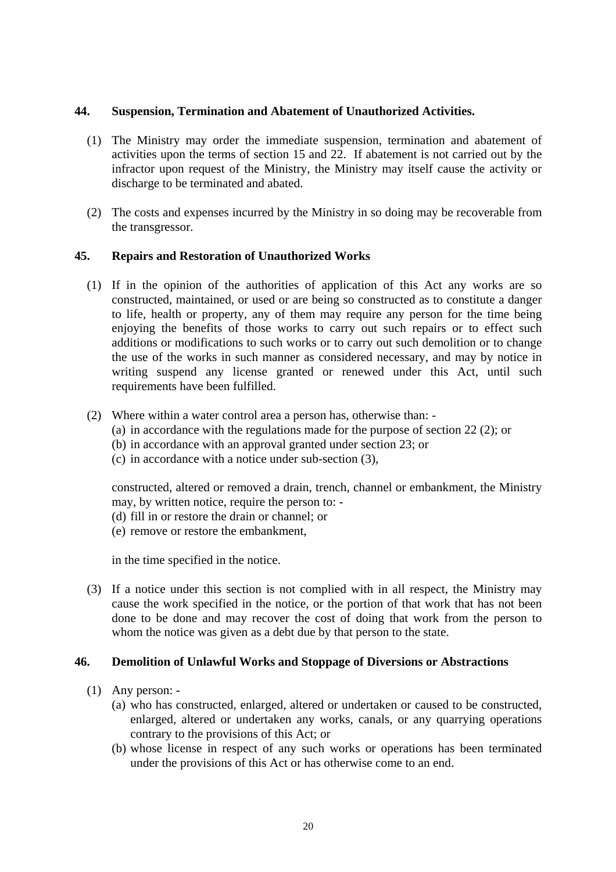### **44. Suspension, Termination and Abatement of Unauthorized Activities.**

- (1) The Ministry may order the immediate suspension, termination and abatement of activities upon the terms of section 15 and 22. If abatement is not carried out by the infractor upon request of the Ministry, the Ministry may itself cause the activity or discharge to be terminated and abated.
- (2) The costs and expenses incurred by the Ministry in so doing may be recoverable from the transgressor.

## **45. Repairs and Restoration of Unauthorized Works**

- (1) If in the opinion of the authorities of application of this Act any works are so constructed, maintained, or used or are being so constructed as to constitute a danger to life, health or property, any of them may require any person for the time being enjoying the benefits of those works to carry out such repairs or to effect such additions or modifications to such works or to carry out such demolition or to change the use of the works in such manner as considered necessary, and may by notice in writing suspend any license granted or renewed under this Act, until such requirements have been fulfilled.
- (2) Where within a water control area a person has, otherwise than:
	- (a) in accordance with the regulations made for the purpose of section 22 (2); or
	- (b) in accordance with an approval granted under section 23; or
	- (c) in accordance with a notice under sub-section (3),

constructed, altered or removed a drain, trench, channel or embankment, the Ministry may, by written notice, require the person to: -

- (d) fill in or restore the drain or channel; or
- (e) remove or restore the embankment,

in the time specified in the notice.

(3) If a notice under this section is not complied with in all respect, the Ministry may cause the work specified in the notice, or the portion of that work that has not been done to be done and may recover the cost of doing that work from the person to whom the notice was given as a debt due by that person to the state.

#### **46. Demolition of Unlawful Works and Stoppage of Diversions or Abstractions**

- (1) Any person:
	- (a) who has constructed, enlarged, altered or undertaken or caused to be constructed, enlarged, altered or undertaken any works, canals, or any quarrying operations contrary to the provisions of this Act; or
	- (b) whose license in respect of any such works or operations has been terminated under the provisions of this Act or has otherwise come to an end.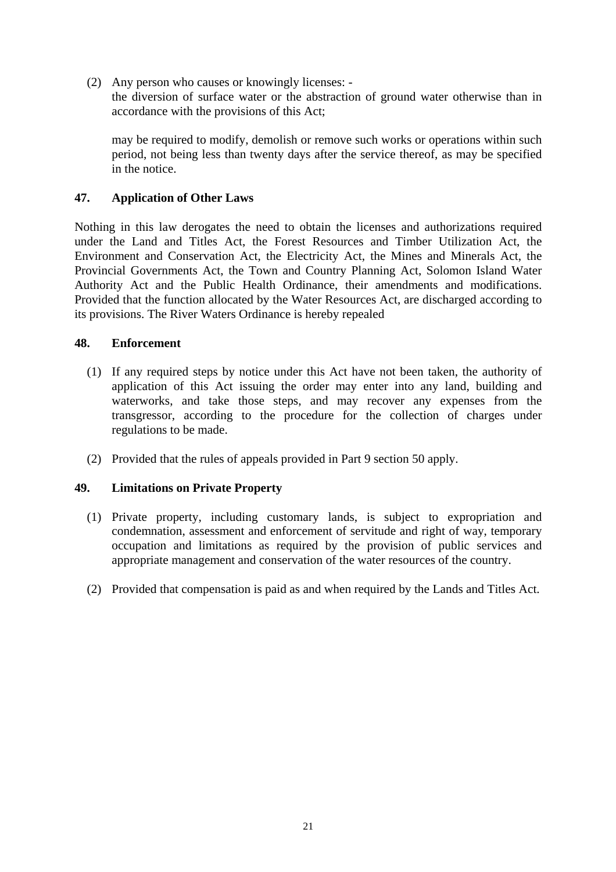(2) Any person who causes or knowingly licenses: -

the diversion of surface water or the abstraction of ground water otherwise than in accordance with the provisions of this Act;

may be required to modify, demolish or remove such works or operations within such period, not being less than twenty days after the service thereof, as may be specified in the notice.

## **47. Application of Other Laws**

Nothing in this law derogates the need to obtain the licenses and authorizations required under the Land and Titles Act, the Forest Resources and Timber Utilization Act, the Environment and Conservation Act, the Electricity Act, the Mines and Minerals Act, the Provincial Governments Act, the Town and Country Planning Act, Solomon Island Water Authority Act and the Public Health Ordinance, their amendments and modifications. Provided that the function allocated by the Water Resources Act, are discharged according to its provisions. The River Waters Ordinance is hereby repealed

## **48. Enforcement**

- (1) If any required steps by notice under this Act have not been taken, the authority of application of this Act issuing the order may enter into any land, building and waterworks, and take those steps, and may recover any expenses from the transgressor, according to the procedure for the collection of charges under regulations to be made.
- (2) Provided that the rules of appeals provided in Part 9 section 50 apply.

## **49. Limitations on Private Property**

- (1) Private property, including customary lands, is subject to expropriation and condemnation, assessment and enforcement of servitude and right of way, temporary occupation and limitations as required by the provision of public services and appropriate management and conservation of the water resources of the country.
- (2) Provided that compensation is paid as and when required by the Lands and Titles Act.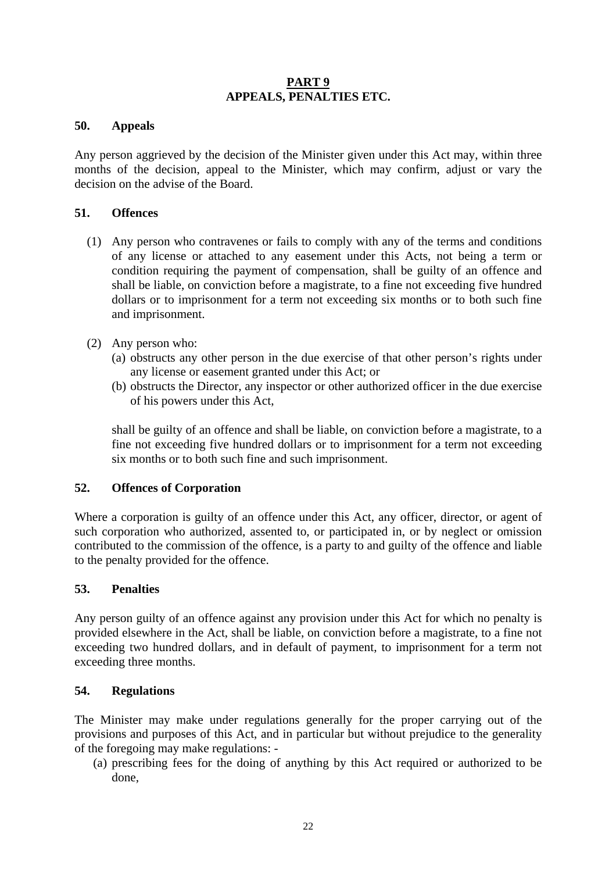## **PART 9 APPEALS, PENALTIES ETC.**

## **50. Appeals**

Any person aggrieved by the decision of the Minister given under this Act may, within three months of the decision, appeal to the Minister, which may confirm, adjust or vary the decision on the advise of the Board.

## **51. Offences**

- (1) Any person who contravenes or fails to comply with any of the terms and conditions of any license or attached to any easement under this Acts, not being a term or condition requiring the payment of compensation, shall be guilty of an offence and shall be liable, on conviction before a magistrate, to a fine not exceeding five hundred dollars or to imprisonment for a term not exceeding six months or to both such fine and imprisonment.
- (2) Any person who:
	- (a) obstructs any other person in the due exercise of that other person's rights under any license or easement granted under this Act; or
	- (b) obstructs the Director, any inspector or other authorized officer in the due exercise of his powers under this Act,

shall be guilty of an offence and shall be liable, on conviction before a magistrate, to a fine not exceeding five hundred dollars or to imprisonment for a term not exceeding six months or to both such fine and such imprisonment.

#### **52. Offences of Corporation**

Where a corporation is guilty of an offence under this Act, any officer, director, or agent of such corporation who authorized, assented to, or participated in, or by neglect or omission contributed to the commission of the offence, is a party to and guilty of the offence and liable to the penalty provided for the offence.

#### **53. Penalties**

Any person guilty of an offence against any provision under this Act for which no penalty is provided elsewhere in the Act, shall be liable, on conviction before a magistrate, to a fine not exceeding two hundred dollars, and in default of payment, to imprisonment for a term not exceeding three months.

## **54. Regulations**

The Minister may make under regulations generally for the proper carrying out of the provisions and purposes of this Act, and in particular but without prejudice to the generality of the foregoing may make regulations: -

(a) prescribing fees for the doing of anything by this Act required or authorized to be done,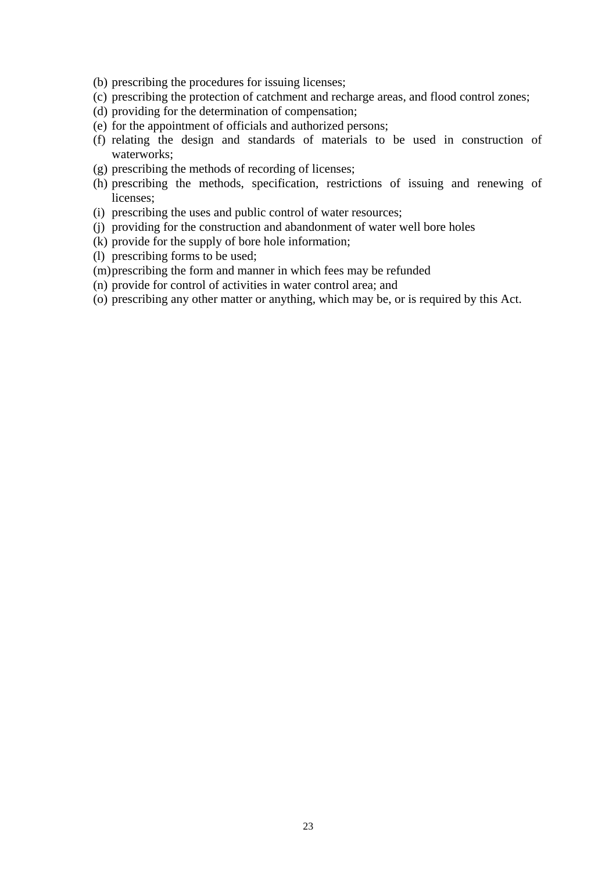- (b) prescribing the procedures for issuing licenses;
- (c) prescribing the protection of catchment and recharge areas, and flood control zones;
- (d) providing for the determination of compensation;
- (e) for the appointment of officials and authorized persons;
- (f) relating the design and standards of materials to be used in construction of waterworks;
- (g) prescribing the methods of recording of licenses;
- (h) prescribing the methods, specification, restrictions of issuing and renewing of licenses;
- (i) prescribing the uses and public control of water resources;
- (j) providing for the construction and abandonment of water well bore holes
- (k) provide for the supply of bore hole information;
- (l) prescribing forms to be used;
- (m)prescribing the form and manner in which fees may be refunded
- (n) provide for control of activities in water control area; and
- (o) prescribing any other matter or anything, which may be, or is required by this Act.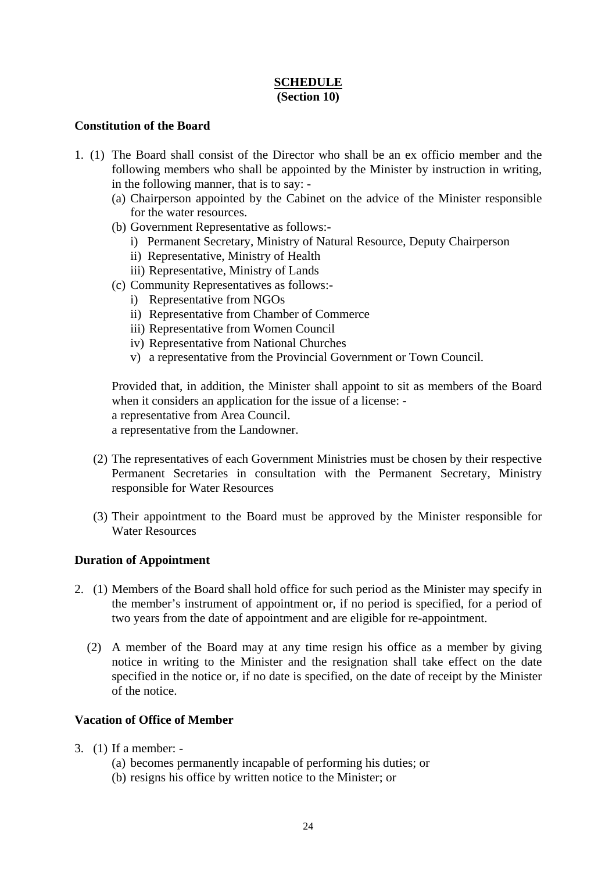# **SCHEDULE (Section 10)**

## **Constitution of the Board**

- 1. (1) The Board shall consist of the Director who shall be an ex officio member and the following members who shall be appointed by the Minister by instruction in writing, in the following manner, that is to say: -
	- (a) Chairperson appointed by the Cabinet on the advice of the Minister responsible for the water resources.
	- (b) Government Representative as follows:
		- i) Permanent Secretary, Ministry of Natural Resource, Deputy Chairperson
		- ii) Representative, Ministry of Health
		- iii) Representative, Ministry of Lands
	- (c) Community Representatives as follows:
		- i) Representative from NGOs
		- ii) Representative from Chamber of Commerce
		- iii) Representative from Women Council
		- iv) Representative from National Churches
		- v) a representative from the Provincial Government or Town Council.

Provided that, in addition, the Minister shall appoint to sit as members of the Board when it considers an application for the issue of a license: a representative from Area Council.

a representative from the Landowner.

- (2) The representatives of each Government Ministries must be chosen by their respective Permanent Secretaries in consultation with the Permanent Secretary, Ministry responsible for Water Resources
- (3) Their appointment to the Board must be approved by the Minister responsible for Water Resources

#### **Duration of Appointment**

- 2. (1) Members of the Board shall hold office for such period as the Minister may specify in the member's instrument of appointment or, if no period is specified, for a period of two years from the date of appointment and are eligible for re-appointment.
	- (2) A member of the Board may at any time resign his office as a member by giving notice in writing to the Minister and the resignation shall take effect on the date specified in the notice or, if no date is specified, on the date of receipt by the Minister of the notice.

## **Vacation of Office of Member**

- 3. (1) If a member:
	- (a) becomes permanently incapable of performing his duties; or
	- (b) resigns his office by written notice to the Minister; or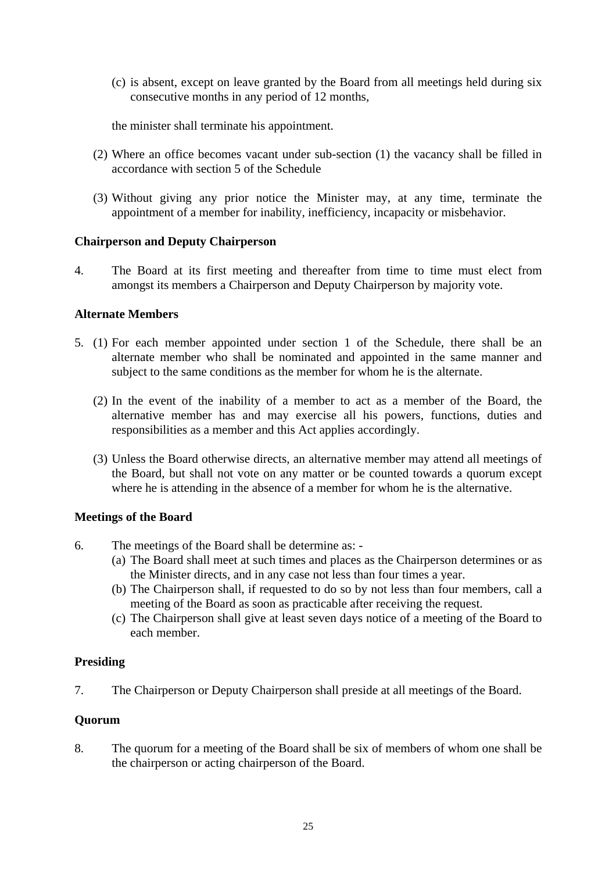(c) is absent, except on leave granted by the Board from all meetings held during six consecutive months in any period of 12 months,

the minister shall terminate his appointment.

- (2) Where an office becomes vacant under sub-section (1) the vacancy shall be filled in accordance with section 5 of the Schedule
- (3) Without giving any prior notice the Minister may, at any time, terminate the appointment of a member for inability, inefficiency, incapacity or misbehavior.

## **Chairperson and Deputy Chairperson**

4. The Board at its first meeting and thereafter from time to time must elect from amongst its members a Chairperson and Deputy Chairperson by majority vote.

## **Alternate Members**

- 5. (1) For each member appointed under section 1 of the Schedule, there shall be an alternate member who shall be nominated and appointed in the same manner and subject to the same conditions as the member for whom he is the alternate.
	- (2) In the event of the inability of a member to act as a member of the Board, the alternative member has and may exercise all his powers, functions, duties and responsibilities as a member and this Act applies accordingly.
	- (3) Unless the Board otherwise directs, an alternative member may attend all meetings of the Board, but shall not vote on any matter or be counted towards a quorum except where he is attending in the absence of a member for whom he is the alternative.

## **Meetings of the Board**

- 6. The meetings of the Board shall be determine as:
	- (a) The Board shall meet at such times and places as the Chairperson determines or as the Minister directs, and in any case not less than four times a year.
	- (b) The Chairperson shall, if requested to do so by not less than four members, call a meeting of the Board as soon as practicable after receiving the request.
	- (c) The Chairperson shall give at least seven days notice of a meeting of the Board to each member.

#### **Presiding**

7. The Chairperson or Deputy Chairperson shall preside at all meetings of the Board.

## **Quorum**

8. The quorum for a meeting of the Board shall be six of members of whom one shall be the chairperson or acting chairperson of the Board.